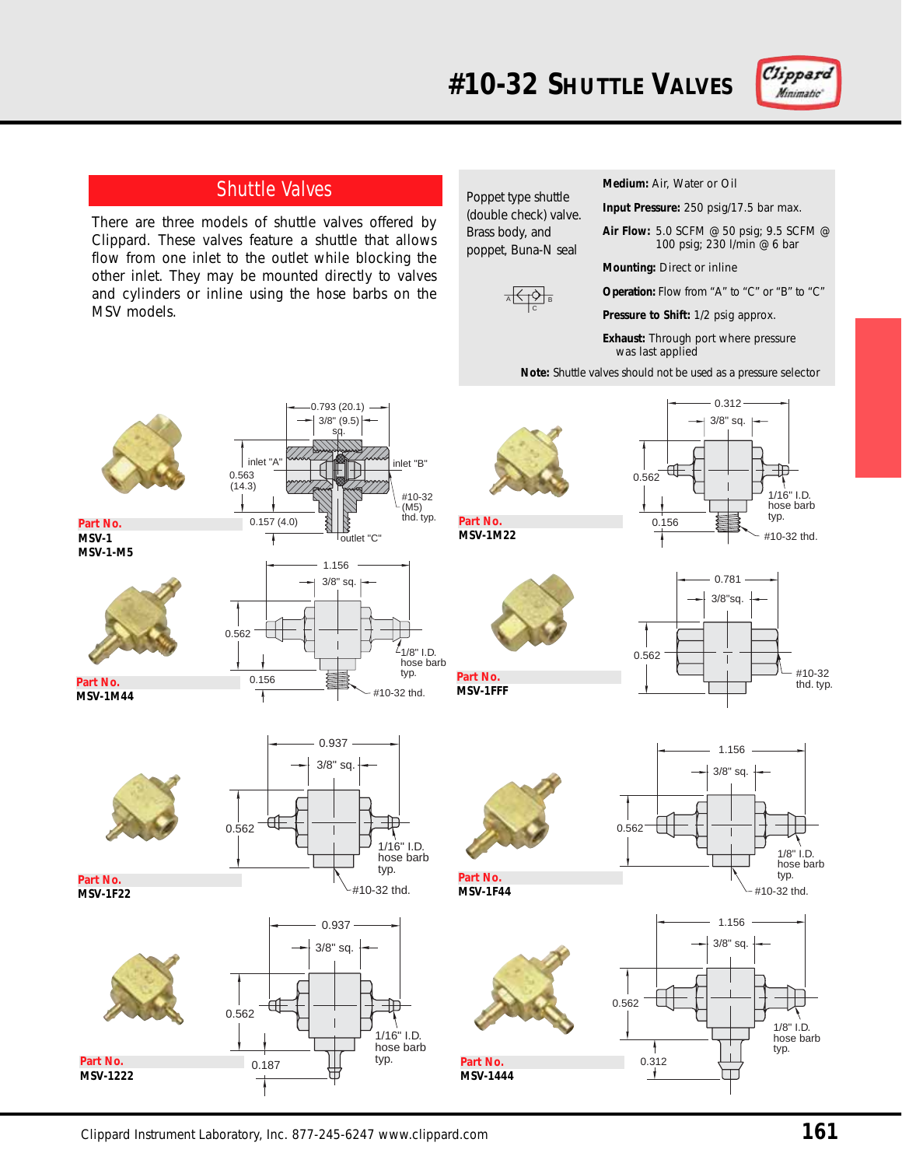

## Shuttle Valves

There are three models of shuttle valves offered by Clippard. These valves feature a shuttle that allows flow from one inlet to the outlet while blocking the other inlet. They may be mounted directly to valves and cylinders or inline using the hose barbs on the MSV models.

> 0.563  $(14.3)$

Poppet type shuttle (double check) valve. Brass body, and poppet, Buna-N seal

**#10-32 SHUTTLE VALVES**



**Medium:** Air, Water or Oil

**Input Pressure:** 250 psig/17.5 bar max.

**Air Flow:** 5.0 SCFM @ 50 psig; 9.5 SCFM @ 100 psig; 230 l/min @ 6 bar

**Mounting:** Direct or inline

**Operation:** Flow from "A" to "C" or "B" to "C"

**Pressure to Shift:** 1/2 psig approx.

**Exhaust:** Through port where pressure was last applied

**Note:** Shuttle valves should not be used as a pressure selector



**Part No. MSV-1 MSV-1-M5**

**Part No. MSV-1M44**

**Part No. MSV-1F22**



#10-32 (M5)<br>thd. typ.  $0.157(4.0)$ outlet "C" Ŧ 1.156 3/8" sq. 0.562  $4$ 1/8" I.D. hose barb typ. 0.156 #10-32 thd. J.

0.793 (20.1) 3/8" (9.5) sq.

inlet "A" inlet "B"



0.937 3/8" sq. Αſ 0.562 1/16" I.D. hose barb typ. #10-32 thd.





**MSV-1F44**

**Part No. MSV-1M22**

**Part No. MSV-1FFF**